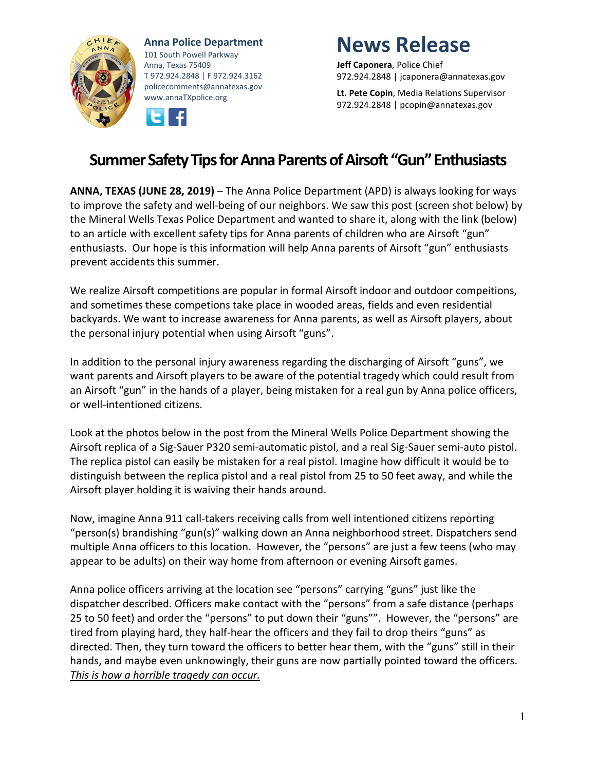

**Anna Police Department** 101 South Powell Parkway Anna, Texas 75409 T 972.924.2848 | F 972.924.3162 policecomments@annatexas.gov www.annaTXpolice.org



## **News Release**

**Jeff Caponera**, Police Chief 972.924.2848 | jcaponera@annatexas.gov

**Lt. Pete Copin**, Media Relations Supervisor 972.924.2848 | pcopin@annatexas.gov

## **Summer Safety Tips for Anna Parents of Airsoft "Gun" Enthusiasts**

**ANNA, TEXAS (JUNE 28, 2019)** – The Anna Police Department (APD) is always looking for ways to improve the safety and well-being of our neighbors. We saw this post (screen shot below) by the Mineral Wells Texas Police Department and wanted to share it, along with the link (below) to an article with excellent safety tips for Anna parents of children who are Airsoft "gun" enthusiasts. Our hope is this information will help Anna parents of Airsoft "gun" enthusiasts prevent accidents this summer.

We realize Airsoft competitions are popular in formal Airsoft indoor and outdoor compeitions, and sometimes these competions take place in wooded areas, fields and even residential backyards. We want to increase awareness for Anna parents, as well as Airsoft players, about the personal injury potential when using Airsoft "guns".

In addition to the personal injury awareness regarding the discharging of Airsoft "guns", we want parents and Airsoft players to be aware of the potential tragedy which could result from an Airsoft "gun" in the hands of a player, being mistaken for a real gun by Anna police officers, or well-intentioned citizens.

Look at the photos below in the post from the Mineral Wells Police Department showing the Airsoft replica of a Sig-Sauer P320 semi-automatic pistol, and a real Sig-Sauer semi-auto pistol. The replica pistol can easily be mistaken for a real pistol. Imagine how difficult it would be to distinguish between the replica pistol and a real pistol from 25 to 50 feet away, and while the Airsoft player holding it is waiving their hands around.

Now, imagine Anna 911 call-takers receiving calls from well intentioned citizens reporting "person(s) brandishing "gun(s)" walking down an Anna neighborhood street. Dispatchers send multiple Anna officers to this location. However, the "persons" are just a few teens (who may appear to be adults) on their way home from afternoon or evening Airsoft games.

Anna police officers arriving at the location see "persons" carrying "guns" just like the dispatcher described. Officers make contact with the "persons" from a safe distance (perhaps 25 to 50 feet) and order the "persons" to put down their "guns"". However, the "persons" are tired from playing hard, they half-hear the officers and they fail to drop theirs "guns" as directed. Then, they turn toward the officers to better hear them, with the "guns" still in their hands, and maybe even unknowingly, their guns are now partially pointed toward the officers. *This is how a horrible tragedy can occur.*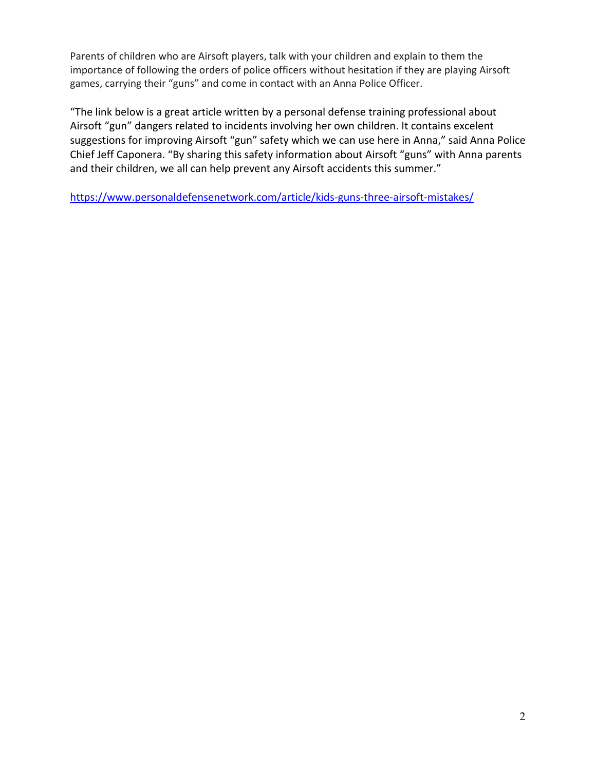Parents of children who are Airsoft players, talk with your children and explain to them the importance of following the orders of police officers without hesitation if they are playing Airsoft games, carrying their "guns" and come in contact with an Anna Police Officer.

"The link below is a great article written by a personal defense training professional about Airsoft "gun" dangers related to incidents involving her own children. It contains excelent suggestions for improving Airsoft "gun" safety which we can use here in Anna," said Anna Police Chief Jeff Caponera. "By sharing this safety information about Airsoft "guns" with Anna parents and their children, we all can help prevent any Airsoft accidents this summer."

<https://www.personaldefensenetwork.com/article/kids-guns-three-airsoft-mistakes/>